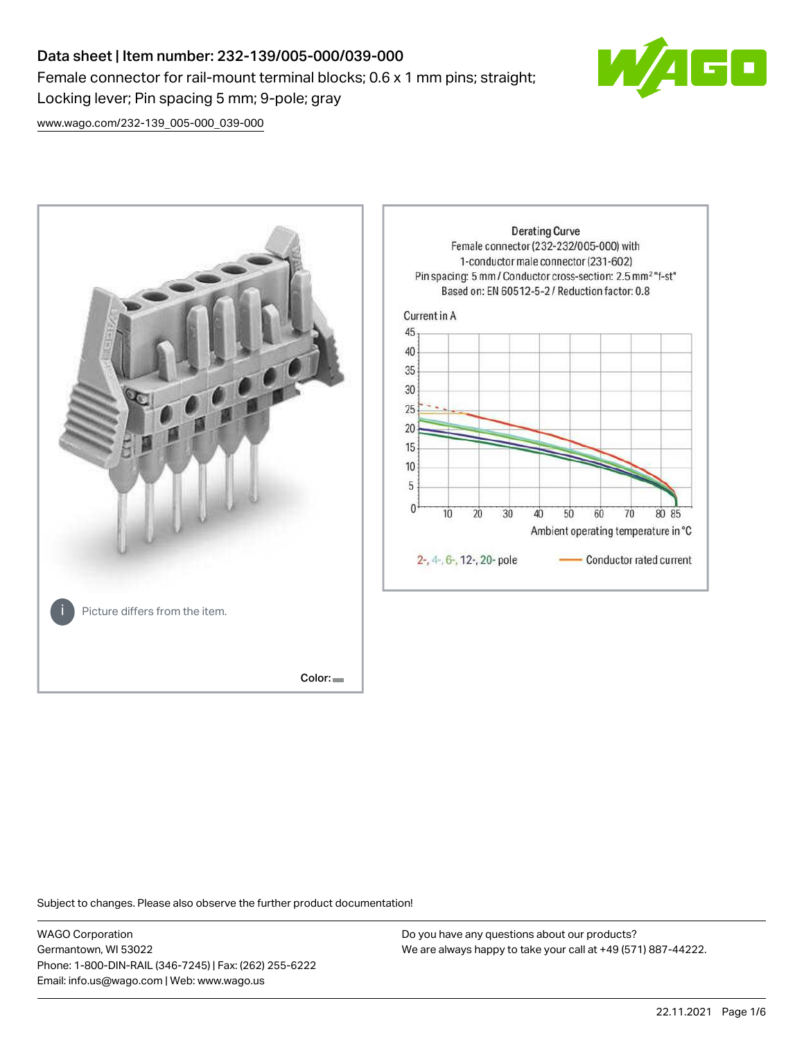# Data sheet | Item number: 232-139/005-000/039-000 Female connector for rail-mount terminal blocks; 0.6 x 1 mm pins; straight; Locking lever; Pin spacing 5 mm; 9-pole; gray



[www.wago.com/232-139\\_005-000\\_039-000](http://www.wago.com/232-139_005-000_039-000)



Subject to changes. Please also observe the further product documentation!

WAGO Corporation Germantown, WI 53022 Phone: 1-800-DIN-RAIL (346-7245) | Fax: (262) 255-6222 Email: info.us@wago.com | Web: www.wago.us

Do you have any questions about our products? We are always happy to take your call at +49 (571) 887-44222.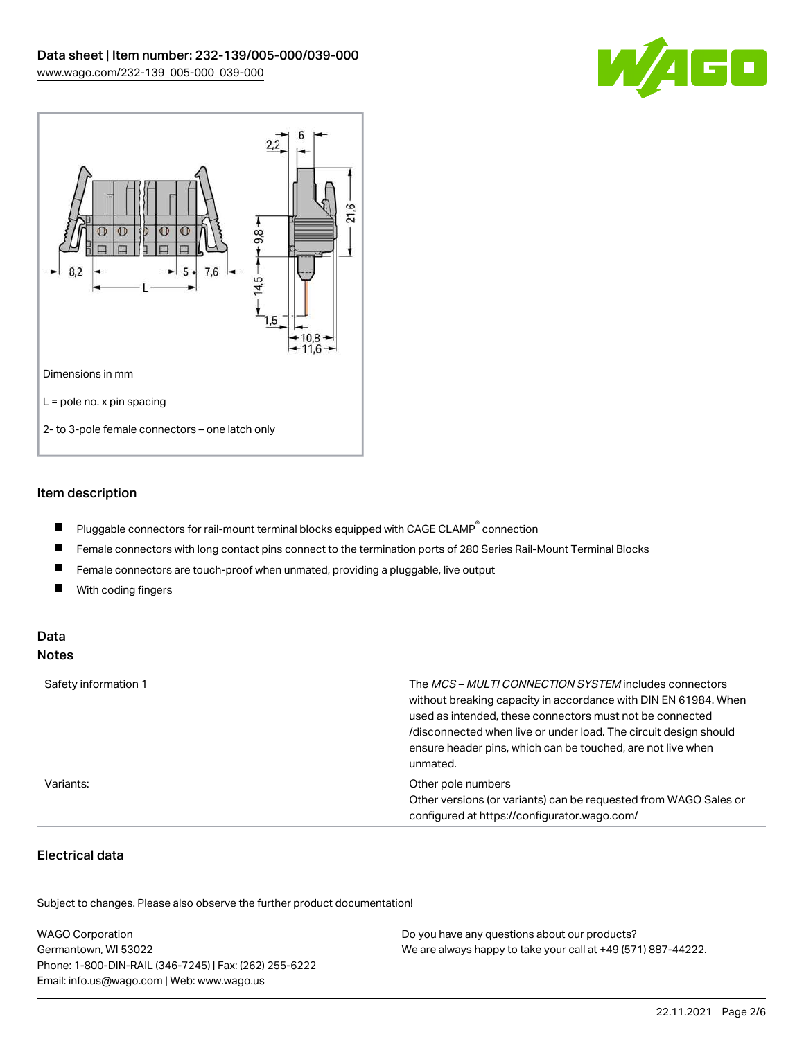



## Item description

- $\blacksquare$ Pluggable connectors for rail-mount terminal blocks equipped with CAGE CLAMP $^{\circ}$  connection
- $\blacksquare$ Female connectors with long contact pins connect to the termination ports of 280 Series Rail-Mount Terminal Blocks
- $\blacksquare$ Female connectors are touch-proof when unmated, providing a pluggable, live output
- $\blacksquare$ With coding fingers

#### Data Notes

| Safety information 1 | The <i>MCS – MULTI CONNECTION SYSTEM</i> includes connectors<br>without breaking capacity in accordance with DIN EN 61984. When<br>used as intended, these connectors must not be connected<br>/disconnected when live or under load. The circuit design should<br>ensure header pins, which can be touched, are not live when<br>unmated. |
|----------------------|--------------------------------------------------------------------------------------------------------------------------------------------------------------------------------------------------------------------------------------------------------------------------------------------------------------------------------------------|
| Variants:            | Other pole numbers<br>Other versions (or variants) can be requested from WAGO Sales or<br>configured at https://configurator.wago.com/                                                                                                                                                                                                     |

# Electrical data

.<br>Subject to changes. Please also observe the further product documentation!

| <b>WAGO Corporation</b>                                | Do you have any questions about our products?                 |
|--------------------------------------------------------|---------------------------------------------------------------|
| Germantown, WI 53022                                   | We are always happy to take your call at +49 (571) 887-44222. |
| Phone: 1-800-DIN-RAIL (346-7245)   Fax: (262) 255-6222 |                                                               |
| Email: info.us@wago.com   Web: www.wago.us             |                                                               |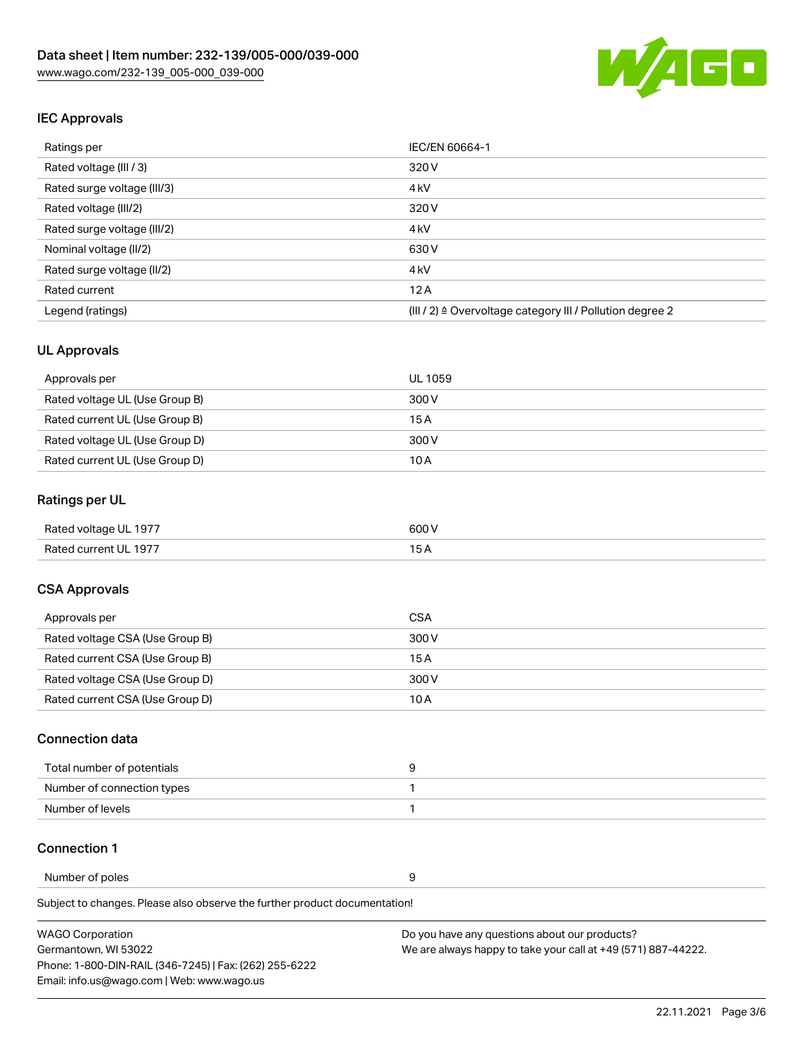

## IEC Approvals

| Ratings per                 | IEC/EN 60664-1                                                       |
|-----------------------------|----------------------------------------------------------------------|
| Rated voltage (III / 3)     | 320 V                                                                |
| Rated surge voltage (III/3) | 4 <sub>k</sub> V                                                     |
| Rated voltage (III/2)       | 320 V                                                                |
| Rated surge voltage (III/2) | 4 <sub>k</sub> V                                                     |
| Nominal voltage (II/2)      | 630 V                                                                |
| Rated surge voltage (II/2)  | 4 <sub>k</sub> V                                                     |
| Rated current               | 12A                                                                  |
| Legend (ratings)            | (III / 2) $\triangleq$ Overvoltage category III / Pollution degree 2 |

### UL Approvals

| Approvals per                  | UL 1059 |
|--------------------------------|---------|
| Rated voltage UL (Use Group B) | 300 V   |
| Rated current UL (Use Group B) | 15 A    |
| Rated voltage UL (Use Group D) | 300 V   |
| Rated current UL (Use Group D) | 10 A    |

## Ratings per UL

| Rated voltage UL 1977 | 600V |
|-----------------------|------|
| Rated current UL 1977 |      |

### CSA Approvals

| Approvals per                   | CSA   |
|---------------------------------|-------|
| Rated voltage CSA (Use Group B) | 300 V |
| Rated current CSA (Use Group B) | 15 A  |
| Rated voltage CSA (Use Group D) | 300 V |
| Rated current CSA (Use Group D) | 10 A  |

#### Connection data

| Total number of potentials |  |
|----------------------------|--|
| Number of connection types |  |
| Number of levels           |  |

#### Connection 1

Number of poles 9

Subject to changes. Please also observe the further product documentation!

WAGO Corporation Germantown, WI 53022 Phone: 1-800-DIN-RAIL (346-7245) | Fax: (262) 255-6222 Email: info.us@wago.com | Web: www.wago.us Do you have any questions about our products? We are always happy to take your call at +49 (571) 887-44222.

22.11.2021 Page 3/6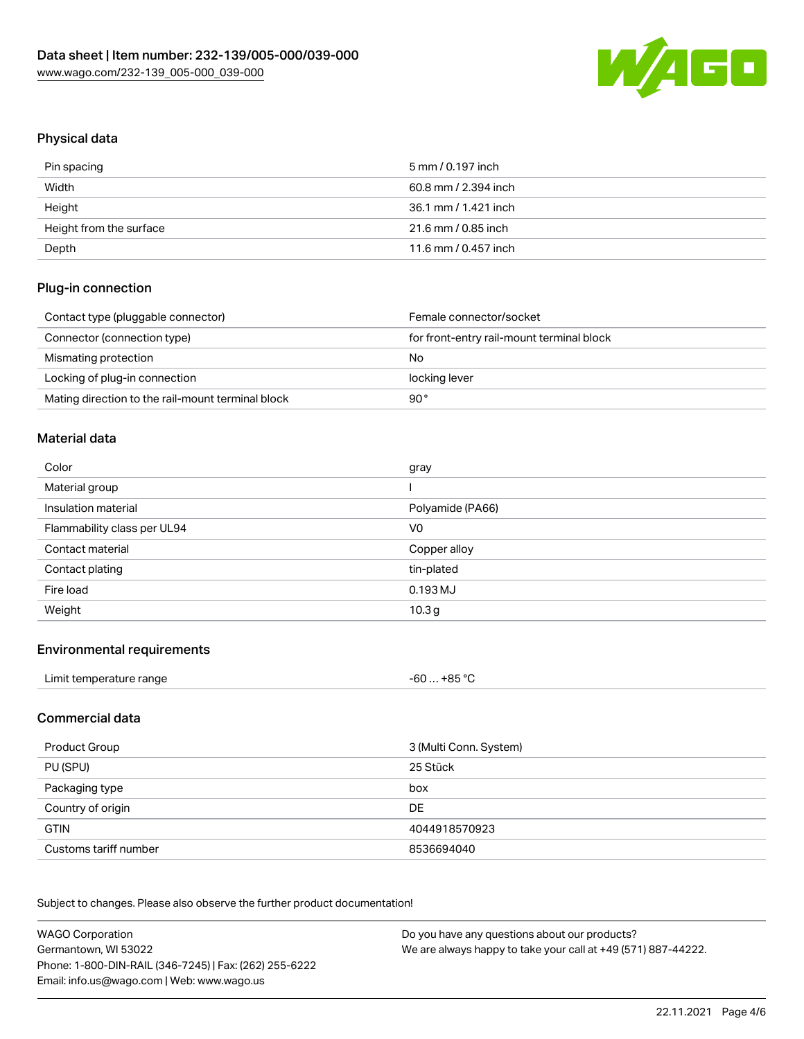

# Physical data

| Pin spacing             | 5 mm / 0.197 inch    |
|-------------------------|----------------------|
| Width                   | 60.8 mm / 2.394 inch |
| Height                  | 36.1 mm / 1.421 inch |
| Height from the surface | 21.6 mm / 0.85 inch  |
| Depth                   | 11.6 mm / 0.457 inch |

## Plug-in connection

| Contact type (pluggable connector)                | Female connector/socket                   |
|---------------------------------------------------|-------------------------------------------|
| Connector (connection type)                       | for front-entry rail-mount terminal block |
| Mismating protection                              | No                                        |
| Locking of plug-in connection                     | locking lever                             |
| Mating direction to the rail-mount terminal block | 90°                                       |

#### Material data

| Color                       | gray             |
|-----------------------------|------------------|
| Material group              |                  |
| Insulation material         | Polyamide (PA66) |
| Flammability class per UL94 | V <sub>0</sub>   |
|                             |                  |
| Contact material            | Copper alloy     |
| Contact plating             | tin-plated       |
| Fire load                   | 0.193 MJ         |

#### Environmental requirements

| Limit temperature range | $-60+85 °C$ |  |
|-------------------------|-------------|--|
|-------------------------|-------------|--|

## Commercial data

| Product Group         | 3 (Multi Conn. System) |
|-----------------------|------------------------|
| PU (SPU)              | 25 Stück               |
| Packaging type        | box                    |
| Country of origin     | DE                     |
| <b>GTIN</b>           | 4044918570923          |
| Customs tariff number | 8536694040             |

Subject to changes. Please also observe the further product documentation!

| <b>WAGO Corporation</b>                                | Do you have any questions about our products?                 |
|--------------------------------------------------------|---------------------------------------------------------------|
| Germantown, WI 53022                                   | We are always happy to take your call at +49 (571) 887-44222. |
| Phone: 1-800-DIN-RAIL (346-7245)   Fax: (262) 255-6222 |                                                               |
| Email: info.us@wago.com   Web: www.wago.us             |                                                               |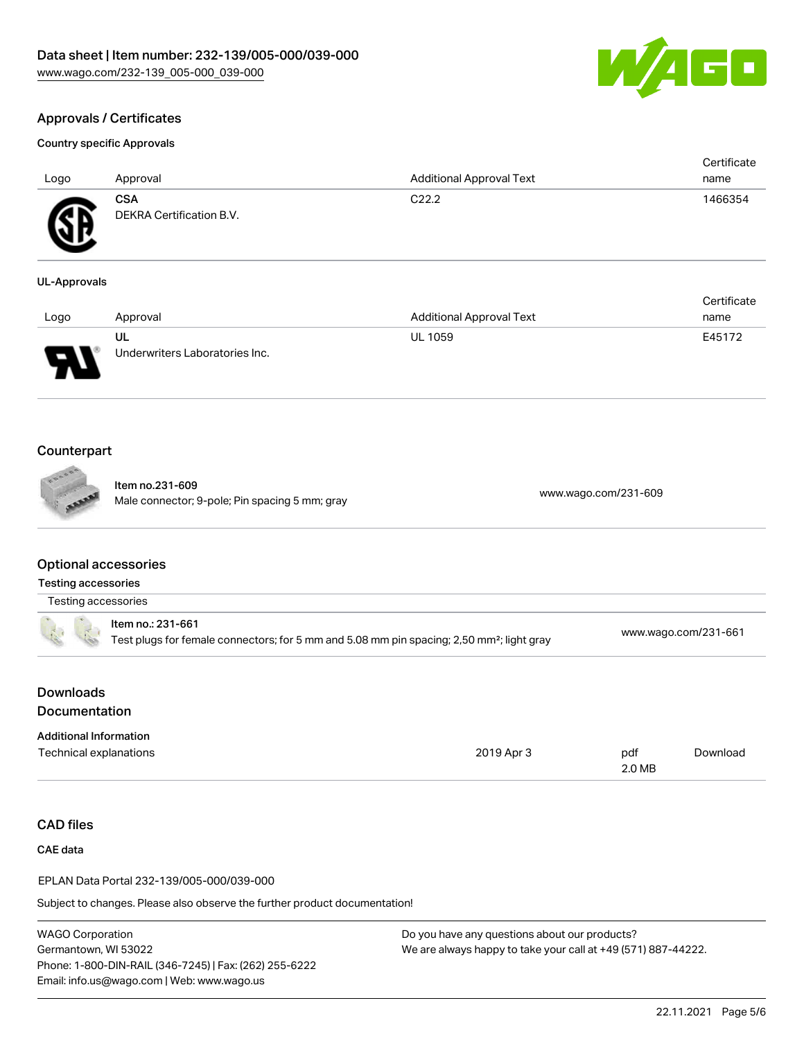

Certificate

# Approvals / Certificates

#### Country specific Approvals

| Logo             | Approval                                      | <b>Additional Approval Text</b> | Certificate<br>name |
|------------------|-----------------------------------------------|---------------------------------|---------------------|
| Æ<br>$\bf\omega$ | <b>CSA</b><br><b>DEKRA Certification B.V.</b> | C <sub>22.2</sub>               | 1466354             |

#### UL-Approvals

| Logo                          | Approval                             | <b>Additional Approval Text</b> | name   |
|-------------------------------|--------------------------------------|---------------------------------|--------|
| J<br>$\overline{\phantom{a}}$ | UL<br>Underwriters Laboratories Inc. | <b>UL 1059</b>                  | E45172 |

## Counterpart

Item no.231-609 nem no.251-609<br>Male connector; 9-pole; Pin spacing 5 mm; gray [www.wago.com/231-609](https://www.wago.com/231-609)

### Optional accessories

| <b>Testing accessories</b> |
|----------------------------|
| Testing accessories        |

|  | $\frac{1}{2}$ , , ,                                                                                   |                      |
|--|-------------------------------------------------------------------------------------------------------|----------------------|
|  | ltem no.: 231-661                                                                                     |                      |
|  | Test plugs for female connectors; for 5 mm and 5.08 mm pin spacing; 2,50 mm <sup>2</sup> ; light gray | www.wago.com/231-661 |

| Downloads     |  |
|---------------|--|
| Documentation |  |

| <b>Additional Information</b> |            |        |          |
|-------------------------------|------------|--------|----------|
| Technical explanations        | 2019 Apr 3 | pdf    | Download |
|                               |            | 2.0 MB |          |

# CAD files

CAE data

EPLAN Data Portal 232-139/005-000/039-000

Subject to changes. Please also observe the further product documentation!

WAGO Corporation Germantown, WI 53022 Phone: 1-800-DIN-RAIL (346-7245) | Fax: (262) 255-6222 Email: info.us@wago.com | Web: www.wago.us

Do you have any questions about our products? We are always happy to take your call at +49 (571) 887-44222.